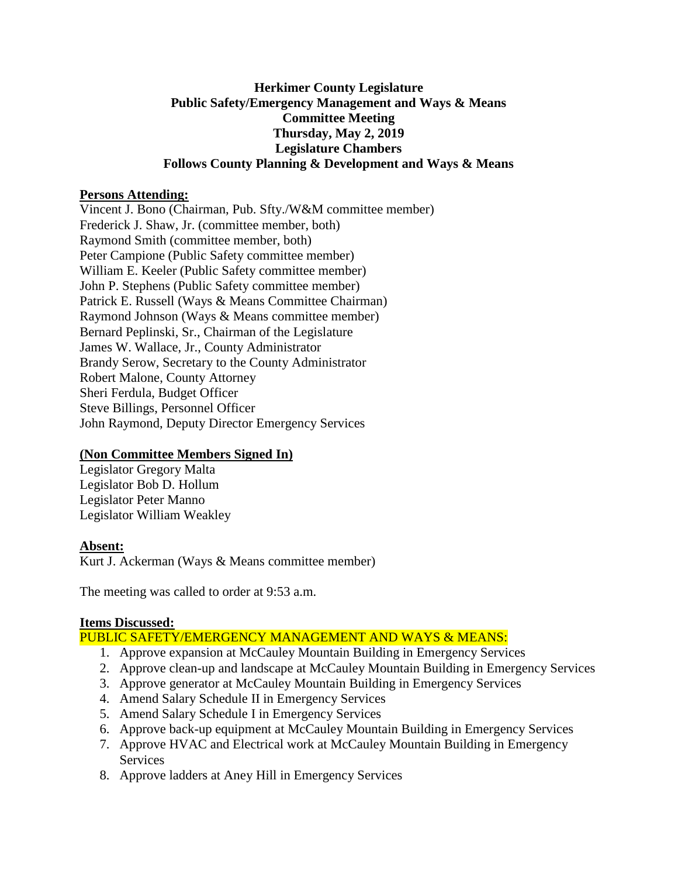#### **Herkimer County Legislature Public Safety/Emergency Management and Ways & Means Committee Meeting Thursday, May 2, 2019 Legislature Chambers Follows County Planning & Development and Ways & Means**

#### **Persons Attending:**

Vincent J. Bono (Chairman, Pub. Sfty./W&M committee member) Frederick J. Shaw, Jr. (committee member, both) Raymond Smith (committee member, both) Peter Campione (Public Safety committee member) William E. Keeler (Public Safety committee member) John P. Stephens (Public Safety committee member) Patrick E. Russell (Ways & Means Committee Chairman) Raymond Johnson (Ways & Means committee member) Bernard Peplinski, Sr., Chairman of the Legislature James W. Wallace, Jr., County Administrator Brandy Serow, Secretary to the County Administrator Robert Malone, County Attorney Sheri Ferdula, Budget Officer Steve Billings, Personnel Officer John Raymond, Deputy Director Emergency Services

# **(Non Committee Members Signed In)**

Legislator Gregory Malta Legislator Bob D. Hollum Legislator Peter Manno Legislator William Weakley

# **Absent:**

Kurt J. Ackerman (Ways & Means committee member)

The meeting was called to order at 9:53 a.m.

# **Items Discussed:**

# PUBLIC SAFETY/EMERGENCY MANAGEMENT AND WAYS & MEANS:

- 1. Approve expansion at McCauley Mountain Building in Emergency Services
- 2. Approve clean-up and landscape at McCauley Mountain Building in Emergency Services
- 3. Approve generator at McCauley Mountain Building in Emergency Services
- 4. Amend Salary Schedule II in Emergency Services
- 5. Amend Salary Schedule I in Emergency Services
- 6. Approve back-up equipment at McCauley Mountain Building in Emergency Services
- 7. Approve HVAC and Electrical work at McCauley Mountain Building in Emergency **Services**
- 8. Approve ladders at Aney Hill in Emergency Services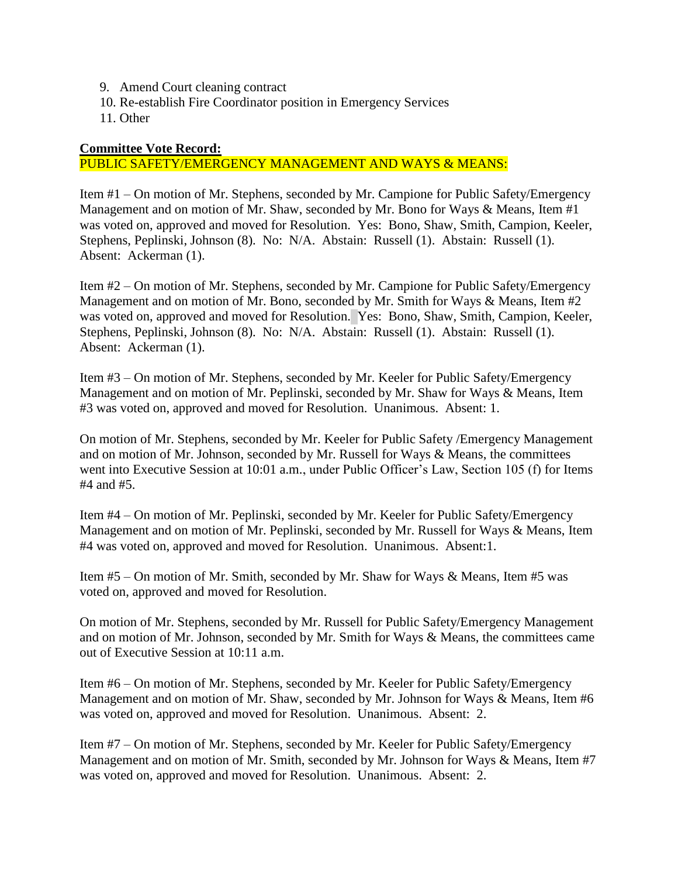- 9. Amend Court cleaning contract
- 10. Re-establish Fire Coordinator position in Emergency Services
- 11. Other

#### **Committee Vote Record:**

#### PUBLIC SAFETY/EMERGENCY MANAGEMENT AND WAYS & MEANS:

Item #1 – On motion of Mr. Stephens, seconded by Mr. Campione for Public Safety/Emergency Management and on motion of Mr. Shaw, seconded by Mr. Bono for Ways & Means, Item #1 was voted on, approved and moved for Resolution. Yes: Bono, Shaw, Smith, Campion, Keeler, Stephens, Peplinski, Johnson (8). No: N/A. Abstain: Russell (1). Abstain: Russell (1). Absent: Ackerman (1).

Item #2 – On motion of Mr. Stephens, seconded by Mr. Campione for Public Safety/Emergency Management and on motion of Mr. Bono, seconded by Mr. Smith for Ways & Means, Item #2 was voted on, approved and moved for Resolution. Yes: Bono, Shaw, Smith, Campion, Keeler, Stephens, Peplinski, Johnson (8). No: N/A. Abstain: Russell (1). Abstain: Russell (1). Absent: Ackerman (1).

Item #3 – On motion of Mr. Stephens, seconded by Mr. Keeler for Public Safety/Emergency Management and on motion of Mr. Peplinski, seconded by Mr. Shaw for Ways & Means, Item #3 was voted on, approved and moved for Resolution. Unanimous. Absent: 1.

On motion of Mr. Stephens, seconded by Mr. Keeler for Public Safety /Emergency Management and on motion of Mr. Johnson, seconded by Mr. Russell for Ways & Means, the committees went into Executive Session at 10:01 a.m., under Public Officer's Law, Section 105 (f) for Items #4 and #5.

Item #4 – On motion of Mr. Peplinski, seconded by Mr. Keeler for Public Safety/Emergency Management and on motion of Mr. Peplinski, seconded by Mr. Russell for Ways & Means, Item #4 was voted on, approved and moved for Resolution. Unanimous. Absent:1.

Item #5 – On motion of Mr. Smith, seconded by Mr. Shaw for Ways & Means, Item #5 was voted on, approved and moved for Resolution.

On motion of Mr. Stephens, seconded by Mr. Russell for Public Safety/Emergency Management and on motion of Mr. Johnson, seconded by Mr. Smith for Ways & Means, the committees came out of Executive Session at 10:11 a.m.

Item #6 – On motion of Mr. Stephens, seconded by Mr. Keeler for Public Safety/Emergency Management and on motion of Mr. Shaw, seconded by Mr. Johnson for Ways & Means, Item #6 was voted on, approved and moved for Resolution. Unanimous. Absent: 2.

Item #7 – On motion of Mr. Stephens, seconded by Mr. Keeler for Public Safety/Emergency Management and on motion of Mr. Smith, seconded by Mr. Johnson for Ways & Means, Item #7 was voted on, approved and moved for Resolution. Unanimous. Absent: 2.